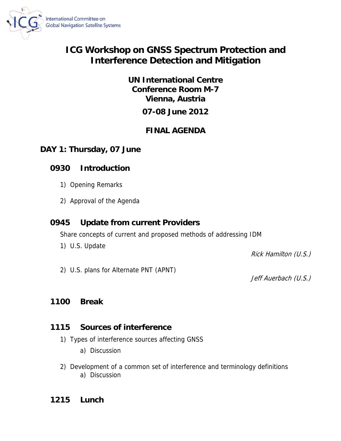

# **ICG Workshop on GNSS Spectrum Protection and Interference Detection and Mitigation**

**UN International Centre Conference Room M-7 Vienna, Austria** 

# **07-08 June 2012**

# **FINAL AGENDA**

### **DAY 1: Thursday, 07 June**

## **0930 Introduction**

- 1) Opening Remarks
- 2) Approval of the Agenda

## **0945 Update from current Providers**

Share concepts of current and proposed methods of addressing IDM

1) U.S. Update

Rick Hamilton (U.S.)

2) U.S. plans for Alternate PNT (APNT)

Jeff Auerbach (U.S.)

#### **1100 Break**

## **1115 Sources of interference**

- 1) Types of interference sources affecting GNSS
	- a) Discussion
- 2) Development of a common set of interference and terminology definitions a) Discussion

## **1215 Lunch**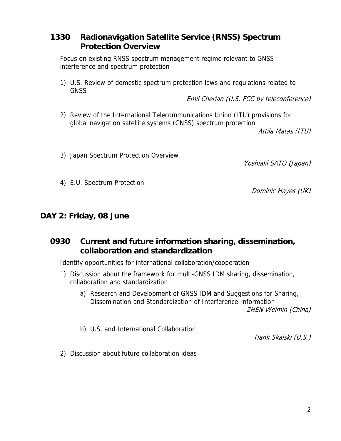#### **1330 Radionavigation Satellite Service (RNSS) Spectrum Protection Overview**

Focus on existing RNSS spectrum management regime relevant to GNSS interference and spectrum protection

1) U.S. Review of domestic spectrum protection laws and regulations related to **GNSS** 

Emil Cherian (U.S. FCC by teleconference)

2) Review of the International Telecommunications Union (ITU) provisions for global navigation satellite systems (GNSS) spectrum protection

Attila Matas (ITU)

3) Japan Spectrum Protection Overview

Yoshiaki SATO (Japan)

4) E.U. Spectrum Protection

Dominic Hayes (UK)

#### **DAY 2: Friday, 08 June**

## **0930 Current and future information sharing, dissemination, collaboration and standardization**

Identify opportunities for international collaboration/cooperation

- 1) Discussion about the framework for multi-GNSS IDM sharing, dissemination, collaboration and standardization
	- a) Research and Development of GNSS IDM and Suggestions for Sharing, Dissemination and Standardization of Interference Information ZHEN Weimin (China)
	- b) U.S. and International Collaboration

Hank Skalski (U.S.)

2) Discussion about future collaboration ideas